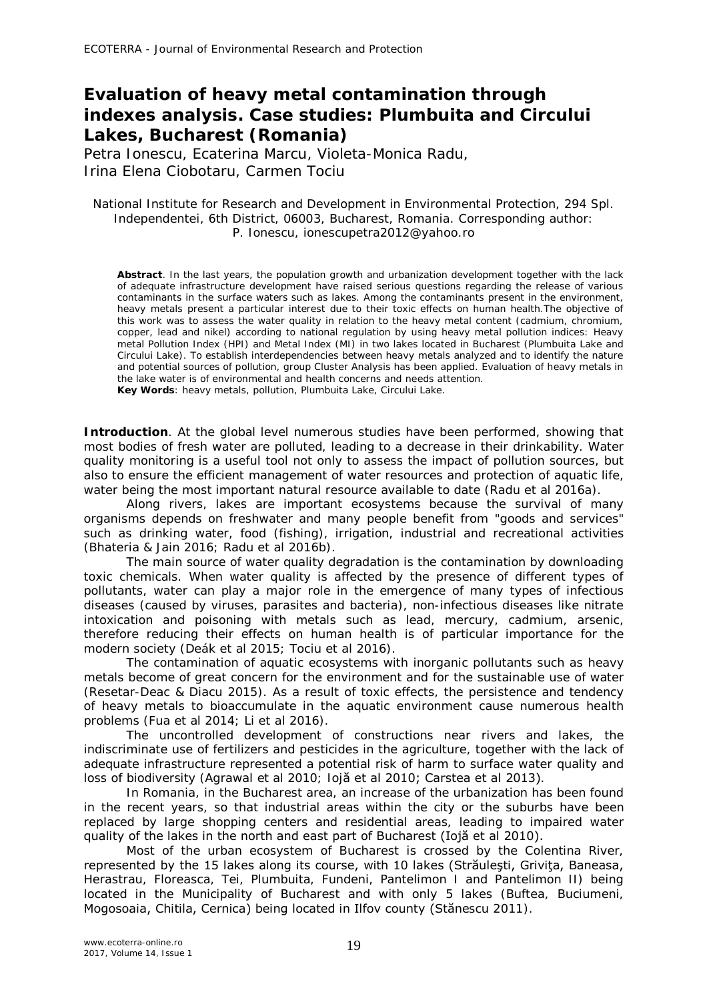## **Evaluation of heavy metal contamination through indexes analysis. Case studies: Plumbuita and Circului Lakes, Bucharest (Romania)**

Petra Ionescu, Ecaterina Marcu, Violeta-Monica Radu, Irina Elena Ciobotaru, Carmen Tociu

### National Institute for Research and Development in Environmental Protection, 294 Spl. Independentei, 6th District, 06003, Bucharest, Romania. Corresponding author: P. Ionescu, ionescupetra2012@yahoo.ro

**Abstract**. In the last years, the population growth and urbanization development together with the lack of adequate infrastructure development have raised serious questions regarding the release of various contaminants in the surface waters such as lakes. Among the contaminants present in the environment, heavy metals present a particular interest due to their toxic effects on human health.The objective of this work was to assess the water quality in relation to the heavy metal content (cadmium, chromium, copper, lead and nikel) according to national regulation by using heavy metal pollution indices: Heavy metal Pollution Index (HPI) and Metal Index (MI) in two lakes located in Bucharest (Plumbuita Lake and Circului Lake). To establish interdependencies between heavy metals analyzed and to identify the nature and potential sources of pollution, group Cluster Analysis has been applied. Evaluation of heavy metals in the lake water is of environmental and health concerns and needs attention. **Key Words**: heavy metals, pollution, Plumbuita Lake, Circului Lake.

**Introduction**. At the global level numerous studies have been performed, showing that most bodies of fresh water are polluted, leading to a decrease in their drinkability. Water quality monitoring is a useful tool not only to assess the impact of pollution sources, but also to ensure the efficient management of water resources and protection of aquatic life, water being the most important natural resource available to date (Radu et al 2016a).

Along rivers, lakes are important ecosystems because the survival of many organisms depends on freshwater and many people benefit from "goods and services" such as drinking water, food (fishing), irrigation, industrial and recreational activities (Bhateria & Jain 2016; Radu et al 2016b).

The main source of water quality degradation is the contamination by downloading toxic chemicals. When water quality is affected by the presence of different types of pollutants, water can play a major role in the emergence of many types of infectious diseases (caused by viruses, parasites and bacteria), non-infectious diseases like nitrate intoxication and poisoning with metals such as lead, mercury, cadmium, arsenic, therefore reducing their effects on human health is of particular importance for the modern society (Deák et al 2015; Tociu et al 2016).

The contamination of aquatic ecosystems with inorganic pollutants such as heavy metals become of great concern for the environment and for the sustainable use of water (Resetar-Deac & Diacu 2015). As a result of toxic effects, the persistence and tendency of heavy metals to bioaccumulate in the aquatic environment cause numerous health problems (Fua et al 2014; Li et al 2016).

The uncontrolled development of constructions near rivers and lakes, the indiscriminate use of fertilizers and pesticides in the agriculture, together with the lack of adequate infrastructure represented a potential risk of harm to surface water quality and loss of biodiversity (Agrawal et al 2010; Iojă et al 2010; Carstea et al 2013).

In Romania, in the Bucharest area, an increase of the urbanization has been found in the recent years, so that industrial areas within the city or the suburbs have been replaced by large shopping centers and residential areas, leading to impaired water quality of the lakes in the north and east part of Bucharest (Iojă et al 2010).

Most of the urban ecosystem of Bucharest is crossed by the Colentina River, represented by the 15 lakes along its course, with 10 lakes (Străulesti, Grivita, Baneasa, Herastrau, Floreasca, Tei, Plumbuita, Fundeni, Pantelimon I and Pantelimon II) being located in the Municipality of Bucharest and with only 5 lakes (Buftea, Buciumeni, Mogosoaia, Chitila, Cernica) being located in Ilfov county (Stănescu 2011).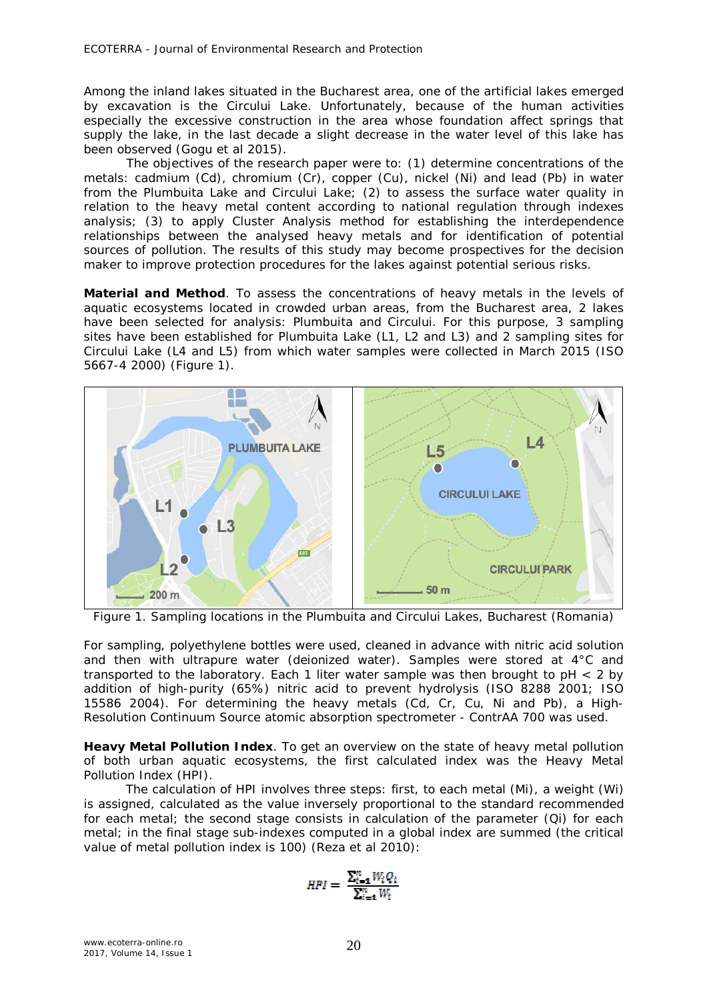Among the inland lakes situated in the Bucharest area, one of the artificial lakes emerged by excavation is the Circului Lake. Unfortunately, because of the human activities especially the excessive construction in the area whose foundation affect springs that supply the lake, in the last decade a slight decrease in the water level of this lake has been observed (Gogu et al 2015).

The objectives of the research paper were to: (1) determine concentrations of the metals: cadmium (Cd), chromium (Cr), copper (Cu), nickel (Ni) and lead (Pb) in water from the Plumbuita Lake and Circului Lake; (2) to assess the surface water quality in relation to the heavy metal content according to national regulation through indexes analysis; (3) to apply Cluster Analysis method for establishing the interdependence relationships between the analysed heavy metals and for identification of potential sources of pollution. The results of this study may become prospectives for the decision maker to improve protection procedures for the lakes against potential serious risks.

**Material and Method**. To assess the concentrations of heavy metals in the levels of aquatic ecosystems located in crowded urban areas, from the Bucharest area, 2 lakes have been selected for analysis: Plumbuita and Circului. For this purpose, 3 sampling sites have been established for Plumbuita Lake (L1, L2 and L3) and 2 sampling sites for Circului Lake (L4 and L5) from which water samples were collected in March 2015 (ISO 5667-4 2000) (Figure 1).



Figure 1. Sampling locations in the Plumbuita and Circului Lakes, Bucharest (Romania)

For sampling, polyethylene bottles were used, cleaned in advance with nitric acid solution and then with ultrapure water (deionized water). Samples were stored at 4°C and transported to the laboratory. Each 1 liter water sample was then brought to  $pH < 2$  by addition of high-purity (65%) nitric acid to prevent hydrolysis (ISO 8288 2001; ISO 15586 2004). For determining the heavy metals (Cd, Cr, Cu, Ni and Pb), a High-Resolution Continuum Source atomic absorption spectrometer - ContrAA 700 was used.

*Heavy Metal Pollution Index.* To get an overview on the state of heavy metal pollution of both urban aquatic ecosystems, the first calculated index was the Heavy Metal Pollution Index (HPI).

The calculation of HPI involves three steps: first, to each metal (Mi), a weight (Wi) is assigned, calculated as the value inversely proportional to the standard recommended for each metal; the second stage consists in calculation of the parameter (Qi) for each metal; in the final stage sub-indexes computed in a global index are summed (the critical value of metal pollution index is 100) (Reza et al 2010):

$$
HPI = \frac{\sum_{i=1}^{n} W_i Q_i}{\sum_{i=1}^{n} W_i}
$$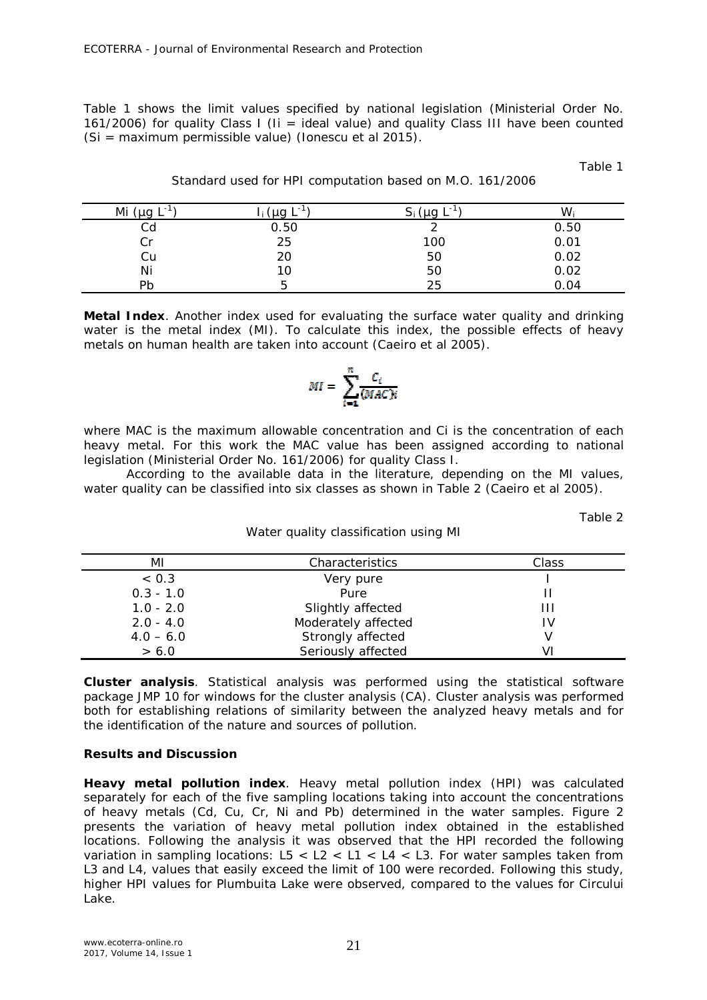Table 1 shows the limit values specified by national legislation (Ministerial Order No. 161/2006) for quality Class I (Ii = ideal value) and quality Class III have been counted (Si = maximum permissible value) (Ionescu et al 2015).

Table 1

| Mi<br>ı - I<br>ഹ | $\mathbf{r}$ . | . .<br>$\mu q$ | W    |
|------------------|----------------|----------------|------|
| Cd               | 0.50           |                | 0.50 |
| Cr               | 25             | 100            | 0.01 |
| Сu               | 20             | 50             | 0.02 |
| Ni               | 10             | 50             | 0.02 |
| Pb               | ∽              | 25             | 0.04 |

Standard used for HPI computation based on M.O. 161/2006

*Metal Index.* Another index used for evaluating the surface water quality and drinking water is the metal index (MI). To calculate this index, the possible effects of heavy metals on human health are taken into account (Caeiro et al 2005).

# $MI = \sum_{i=1}^{n} \frac{C_i}{(MAC)i}$

where MAC is the maximum allowable concentration and *Ci* is the concentration of each heavy metal. For this work the MAC value has been assigned according to national legislation (Ministerial Order No. 161/2006) for quality Class I.

According to the available data in the literature, depending on the MI values, water quality can be classified into six classes as shown in Table 2 (Caeiro et al 2005).

Water quality classification using MI

| anı |  |
|-----|--|
|     |  |

| ΜI          | Characteristics     | Class |
|-------------|---------------------|-------|
| < 0.3       | Very pure           |       |
| $0.3 - 1.0$ | Pure                |       |
| $1.0 - 2.0$ | Slightly affected   | ///   |
| $2.0 - 4.0$ | Moderately affected | IV    |
| $4.0 - 6.0$ | Strongly affected   |       |
| > 6.0       | Seriously affected  | VI    |

*Cluster analysis.* Statistical analysis was performed using the statistical software package JMP 10 for windows for the cluster analysis (CA). Cluster analysis was performed both for establishing relations of similarity between the analyzed heavy metals and for the identification of the nature and sources of pollution.

### **Results and Discussion**

*Heavy metal pollution index.* Heavy metal pollution index (HPI) was calculated separately for each of the five sampling locations taking into account the concentrations of heavy metals (Cd, Cu, Cr, Ni and Pb) determined in the water samples. Figure 2 presents the variation of heavy metal pollution index obtained in the established locations. Following the analysis it was observed that the HPI recorded the following variation in sampling locations:  $L5 < L2 < L1 < L4 < L3$ . For water samples taken from L3 and L4, values that easily exceed the limit of 100 were recorded. Following this study, higher HPI values for Plumbuita Lake were observed, compared to the values for Circului Lake.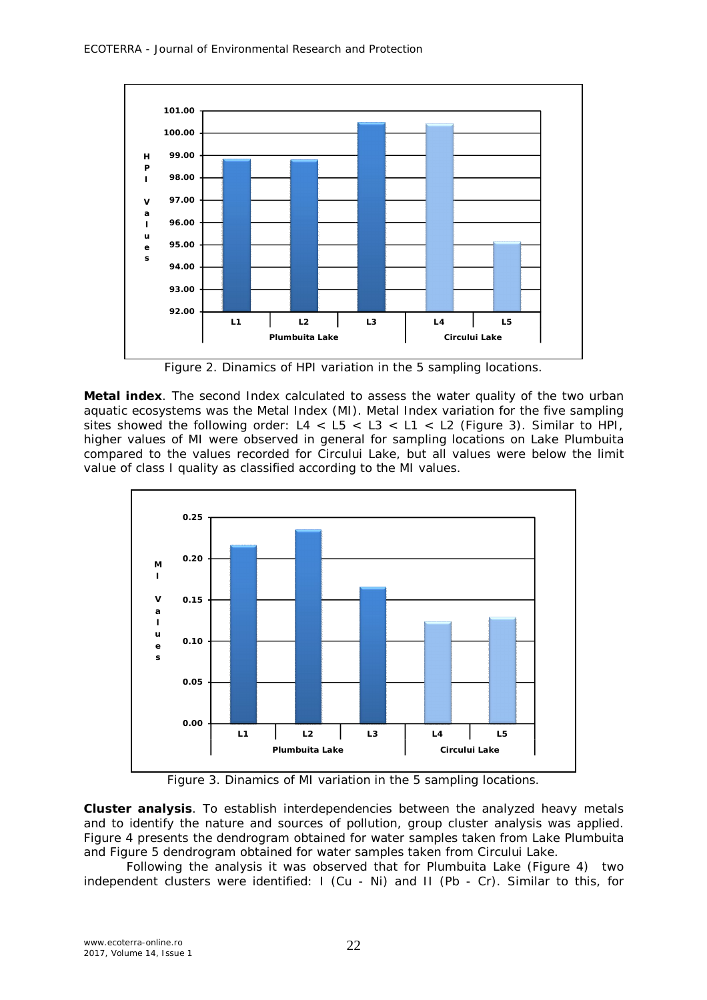

Figure 2. Dinamics of HPI variation in the 5 sampling locations.

*Metal index.* The second Index calculated to assess the water quality of the two urban aquatic ecosystems was the Metal Index (MI). Metal Index variation for the five sampling sites showed the following order:  $L4 < L5 < L3 < L1 < L2$  (Figure 3). Similar to HPI, higher values of MI were observed in general for sampling locations on Lake Plumbuita compared to the values recorded for Circului Lake, but all values were below the limit value of class I quality as classified according to the MI values.



Figure 3. Dinamics of MI variation in the 5 sampling locations.

*Cluster analysis.* To establish interdependencies between the analyzed heavy metals and to identify the nature and sources of pollution, group cluster analysis was applied. Figure 4 presents the dendrogram obtained for water samples taken from Lake Plumbuita and Figure 5 dendrogram obtained for water samples taken from Circului Lake.

Following the analysis it was observed that for Plumbuita Lake (Figure 4) two independent clusters were identified: I (Cu - Ni) and II (Pb - Cr). Similar to this, for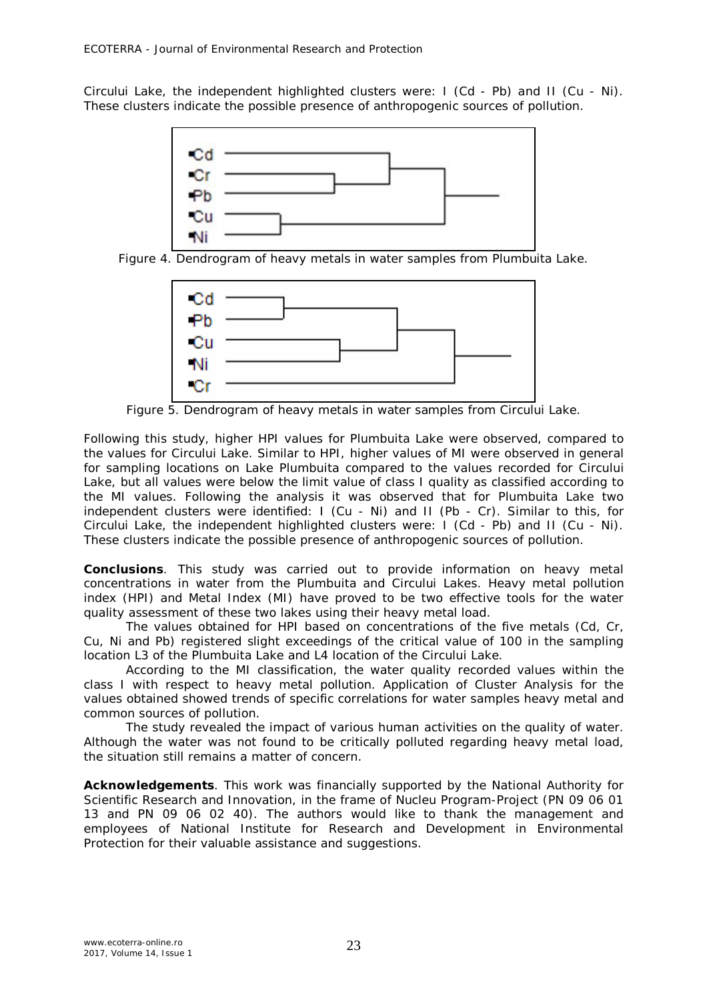Circului Lake, the independent highlighted clusters were: I (Cd - Pb) and II (Cu - Ni). These clusters indicate the possible presence of anthropogenic sources of pollution.





Figure 5. Dendrogram of heavy metals in water samples from Circului Lake.

Following this study, higher HPI values for Plumbuita Lake were observed, compared to the values for Circului Lake. Similar to HPI, higher values of MI were observed in general for sampling locations on Lake Plumbuita compared to the values recorded for Circului Lake, but all values were below the limit value of class I quality as classified according to the MI values. Following the analysis it was observed that for Plumbuita Lake two independent clusters were identified: I (Cu - Ni) and II (Pb - Cr). Similar to this, for Circului Lake, the independent highlighted clusters were: I (Cd - Pb) and II (Cu - Ni). These clusters indicate the possible presence of anthropogenic sources of pollution.

**Conclusions**. This study was carried out to provide information on heavy metal concentrations in water from the Plumbuita and Circului Lakes. Heavy metal pollution index (HPI) and Metal Index (MI) have proved to be two effective tools for the water quality assessment of these two lakes using their heavy metal load.

The values obtained for HPI based on concentrations of the five metals (Cd, Cr, Cu, Ni and Pb) registered slight exceedings of the critical value of 100 in the sampling location L3 of the Plumbuita Lake and L4 location of the Circului Lake.

According to the MI classification, the water quality recorded values within the class I with respect to heavy metal pollution. Application of Cluster Analysis for the values obtained showed trends of specific correlations for water samples heavy metal and common sources of pollution.

The study revealed the impact of various human activities on the quality of water. Although the water was not found to be critically polluted regarding heavy metal load, the situation still remains a matter of concern.

**Acknowledgements**. This work was financially supported by the National Authority for Scientific Research and Innovation, in the frame of Nucleu Program-Project (PN 09 06 01 13 and PN 09 06 02 40). The authors would like to thank the management and employees of National Institute for Research and Development in Environmental Protection for their valuable assistance and suggestions.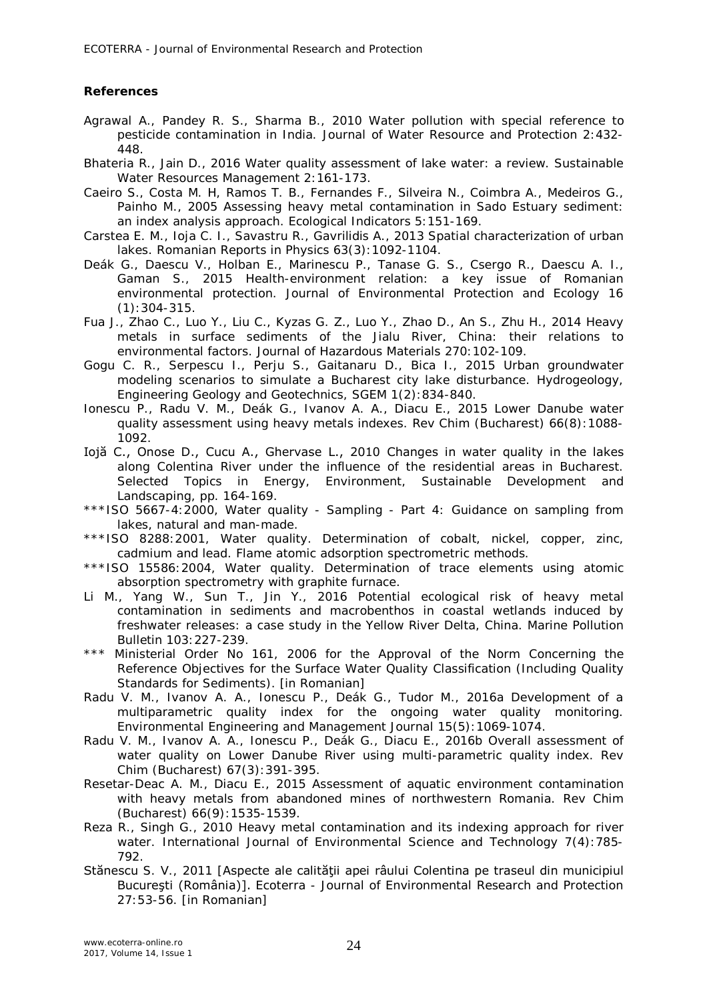### **References**

- Agrawal A., Pandey R. S., Sharma B., 2010 Water pollution with special reference to pesticide contamination in India. Journal of Water Resource and Protection 2:432- 448.
- Bhateria R., Jain D., 2016 Water quality assessment of lake water: a review. Sustainable Water Resources Management 2:161-173.
- Caeiro S., Costa M. H, Ramos T. B., Fernandes F., Silveira N., Coimbra A., Medeiros G., Painho M., 2005 Assessing heavy metal contamination in Sado Estuary sediment: an index analysis approach. Ecological Indicators 5:151-169.
- Carstea E. M., Ioja C. I., Savastru R., Gavrilidis A., 2013 Spatial characterization of urban lakes. Romanian Reports in Physics 63(3):1092-1104.
- Deák G., Daescu V., Holban E., Marinescu P., Tanase G. S., Csergo R., Daescu A. I., Gaman S., 2015 Health-environment relation: a key issue of Romanian environmental protection. Journal of Environmental Protection and Ecology 16 (1):304-315.
- Fua J., Zhao C., Luo Y., Liu C., Kyzas G. Z., Luo Y., Zhao D., An S., Zhu H., 2014 Heavy metals in surface sediments of the Jialu River, China: their relations to environmental factors. Journal of Hazardous Materials 270:102-109.
- Gogu C. R., Serpescu I., Perju S., Gaitanaru D., Bica I., 2015 Urban groundwater modeling scenarios to simulate a Bucharest city lake disturbance. Hydrogeology, Engineering Geology and Geotechnics, SGEM 1(2):834-840.
- Ionescu P., Radu V. M., Deák G., Ivanov A. A., Diacu E., 2015 Lower Danube water quality assessment using heavy metals indexes. Rev Chim (Bucharest) 66(8):1088- 1092.
- Iojă C., Onose D., Cucu A., Ghervase L., 2010 Changes in water quality in the lakes along Colentina River under the influence of the residential areas in Bucharest. Selected Topics in Energy, Environment, Sustainable Development and Landscaping, pp. 164-169.
- \*\*\*ISO 5667-4:2000, Water quality Sampling Part 4: Guidance on sampling from lakes, natural and man-made.
- \*\*\*ISO 8288:2001, Water quality. Determination of cobalt, nickel, copper, zinc, cadmium and lead. Flame atomic adsorption spectrometric methods.
- \*\*\*ISO 15586:2004, Water quality. Determination of trace elements using atomic absorption spectrometry with graphite furnace.
- Li M., Yang W., Sun T., Jin Y., 2016 Potential ecological risk of heavy metal contamination in sediments and macrobenthos in coastal wetlands induced by freshwater releases: a case study in the Yellow River Delta, China. Marine Pollution Bulletin 103:227-239.
- \*\*\* Ministerial Order No 161, 2006 for the Approval of the Norm Concerning the Reference Objectives for the Surface Water Quality Classification (Including Quality Standards for Sediments). [in Romanian]
- Radu V. M., Ivanov A. A., Ionescu P., Deák G., Tudor M., 2016a Development of a multiparametric quality index for the ongoing water quality monitoring. Environmental Engineering and Management Journal 15(5):1069-1074.
- Radu V. M., Ivanov A. A., Ionescu P., Deák G., Diacu E., 2016b Overall assessment of water quality on Lower Danube River using multi-parametric quality index. Rev Chim (Bucharest) 67(3):391-395.
- Resetar-Deac A. M., Diacu E., 2015 Assessment of aquatic environment contamination with heavy metals from abandoned mines of northwestern Romania. Rev Chim (Bucharest) 66(9):1535-1539.
- Reza R., Singh G., 2010 Heavy metal contamination and its indexing approach for river water. International Journal of Environmental Science and Technology 7(4):785-792.
- Stănescu S. V., 2011 [Aspecte ale calității apei râului Colentina pe traseul din municipiul Bucureşti (România)]. Ecoterra - Journal of Environmental Research and Protection 27:53-56. [in Romanian]